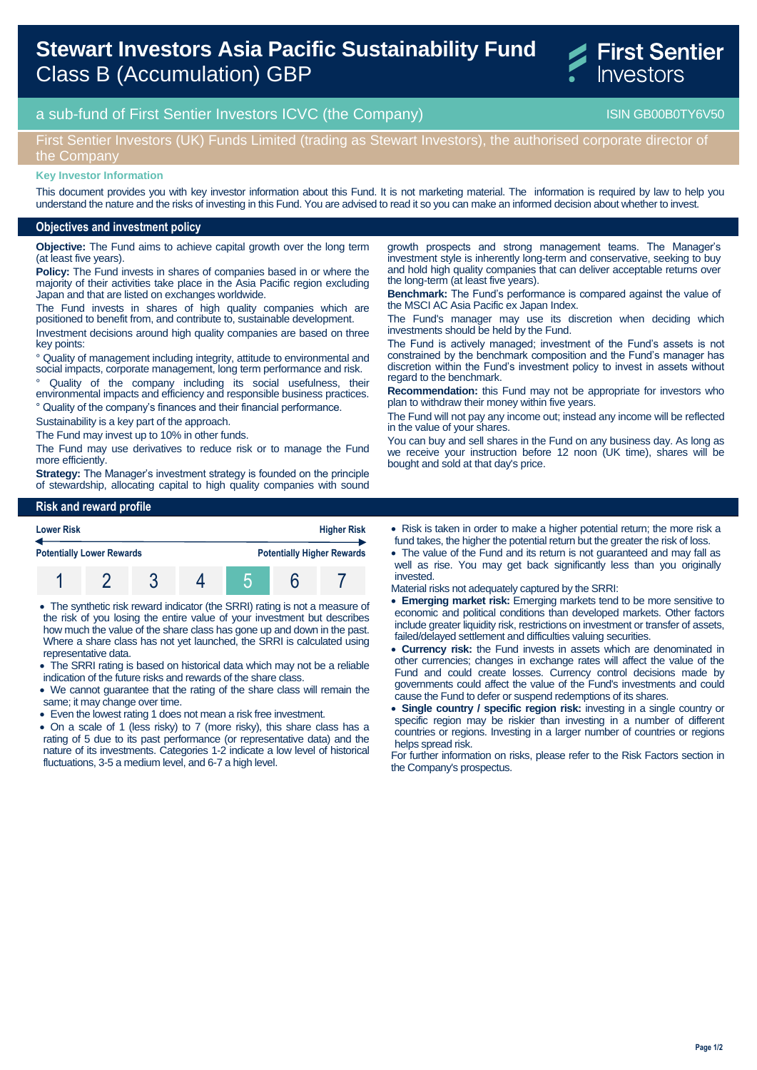# **Stewart Investors Asia Pacific Sustainability Fund** Class B (Accumulation) GBP



# a sub-fund of First Sentier Investors ICVC (the Company) and the Company ISIN GB00B0TY6V50

## First Sentier Investors (UK) Funds Limited (trading as Stewart Investors), the authorised corporate director of the Company

#### **Key Investor Information**

This document provides you with key investor information about this Fund. It is not marketing material. The information is required by law to help you understand the nature and the risks of investing in this Fund. You are advised to read it so you can make an informed decision about whether to invest.

#### **Objectives and investment policy**

**Objective:** The Fund aims to achieve capital growth over the long term (at least five years).

**Policy:** The Fund invests in shares of companies based in or where the majority of their activities take place in the Asia Pacific region excluding Japan and that are listed on exchanges worldwide.

The Fund invests in shares of high quality companies which are positioned to benefit from, and contribute to, sustainable development.

Investment decisions around high quality companies are based on three key points:

° Quality of management including integrity, attitude to environmental and social impacts, corporate management, long term performance and risk.

° Quality of the company including its social usefulness, their environmental impacts and efficiency and responsible business practices.

° Quality of the company's finances and their financial performance.

Sustainability is a key part of the approach.

The Fund may invest up to 10% in other funds.

The Fund may use derivatives to reduce risk or to manage the Fund more efficiently.

**Strategy:** The Manager's investment strategy is founded on the principle of stewardship, allocating capital to high quality companies with sound

growth prospects and strong management teams. The Manager's investment style is inherently long-term and conservative, seeking to buy and hold high quality companies that can deliver acceptable returns over the long-term (at least five years).

**Benchmark:** The Fund's performance is compared against the value of the MSCI AC Asia Pacific ex Japan Index.

The Fund's manager may use its discretion when deciding which investments should be held by the Fund.

The Fund is actively managed; investment of the Fund's assets is not constrained by the benchmark composition and the Fund's manager has discretion within the Fund's investment policy to invest in assets without regard to the benchmark.

**Recommendation:** this Fund may not be appropriate for investors who plan to withdraw their money within five years.

The Fund will not pay any income out; instead any income will be reflected in the value of your shares.

You can buy and sell shares in the Fund on any business day. As long as we receive your instruction before 12 noon (UK time), shares will be bought and sold at that day's price.

## **Risk and reward profile**



 The synthetic risk reward indicator (the SRRI) rating is not a measure of the risk of you losing the entire value of your investment but describes how much the value of the share class has gone up and down in the past. Where a share class has not yet launched, the SRRI is calculated using representative data.

- The SRRI rating is based on historical data which may not be a reliable indication of the future risks and rewards of the share class.
- We cannot guarantee that the rating of the share class will remain the same; it may change over time.
- Even the lowest rating 1 does not mean a risk free investment.
- On a scale of 1 (less risky) to 7 (more risky), this share class has a rating of 5 due to its past performance (or representative data) and the nature of its investments. Categories 1-2 indicate a low level of historical fluctuations, 3-5 a medium level, and 6-7 a high level.
- Risk is taken in order to make a higher potential return; the more risk a fund takes, the higher the potential return but the greater the risk of loss.
- The value of the Fund and its return is not guaranteed and may fall as well as rise. You may get back significantly less than you originally invested.

Material risks not adequately captured by the SRRI:

- **Emerging market risk:** Emerging markets tend to be more sensitive to economic and political conditions than developed markets. Other factors include greater liquidity risk, restrictions on investment or transfer of assets, failed/delayed settlement and difficulties valuing securities.
- **Currency risk:** the Fund invests in assets which are denominated in other currencies; changes in exchange rates will affect the value of the Fund and could create losses. Currency control decisions made by governments could affect the value of the Fund's investments and could cause the Fund to defer or suspend redemptions of its shares.
- **Single country / specific region risk:** investing in a single country or specific region may be riskier than investing in a number of different countries or regions. Investing in a larger number of countries or regions helps spread risk.

For further information on risks, please refer to the Risk Factors section in the Company's prospectus.